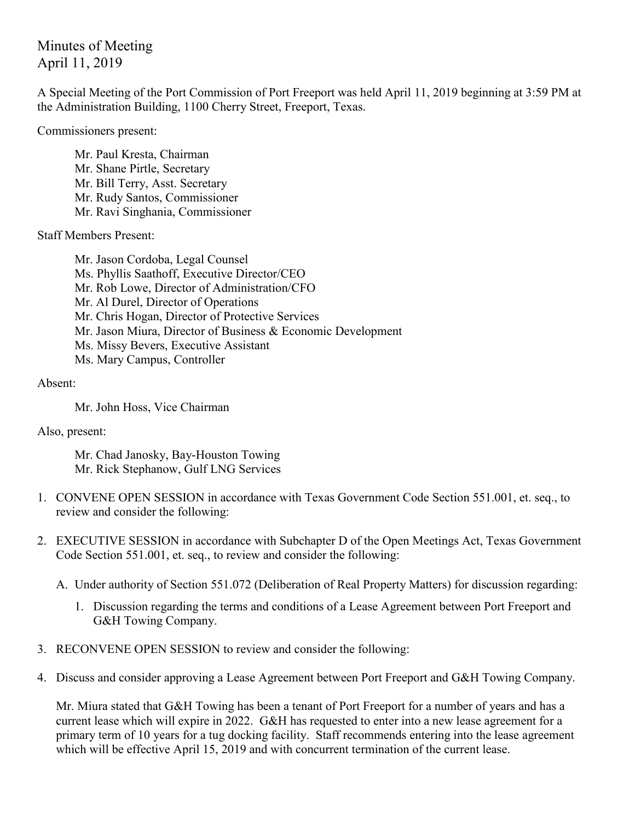Minutes of Meeting April 11, 2019

A Special Meeting of the Port Commission of Port Freeport was held April 11, 2019 beginning at 3:59 PM at the Administration Building, 1100 Cherry Street, Freeport, Texas.

Commissioners present:

Mr. Paul Kresta, Chairman Mr. Shane Pirtle, Secretary Mr. Bill Terry, Asst. Secretary Mr. Rudy Santos, Commissioner Mr. Ravi Singhania, Commissioner

Staff Members Present:

Mr. Jason Cordoba, Legal Counsel Ms. Phyllis Saathoff, Executive Director/CEO Mr. Rob Lowe, Director of Administration/CFO Mr. Al Durel, Director of Operations Mr. Chris Hogan, Director of Protective Services Mr. Jason Miura, Director of Business & Economic Development Ms. Missy Bevers, Executive Assistant Ms. Mary Campus, Controller

Absent:

Mr. John Hoss, Vice Chairman

Also, present:

Mr. Chad Janosky, Bay-Houston Towing Mr. Rick Stephanow, Gulf LNG Services

- 1. CONVENE OPEN SESSION in accordance with Texas Government Code Section 551.001, et. seq., to review and consider the following:
- 2. EXECUTIVE SESSION in accordance with Subchapter D of the Open Meetings Act, Texas Government Code Section 551.001, et. seq., to review and consider the following:
	- A. Under authority of Section 551.072 (Deliberation of Real Property Matters) for discussion regarding:
		- 1. Discussion regarding the terms and conditions of a Lease Agreement between Port Freeport and G&H Towing Company.
- 3. RECONVENE OPEN SESSION to review and consider the following:
- 4. Discuss and consider approving a Lease Agreement between Port Freeport and G&H Towing Company.

Mr. Miura stated that G&H Towing has been a tenant of Port Freeport for a number of years and has a current lease which will expire in 2022. G&H has requested to enter into a new lease agreement for a primary term of 10 years for a tug docking facility. Staff recommends entering into the lease agreement which will be effective April 15, 2019 and with concurrent termination of the current lease.